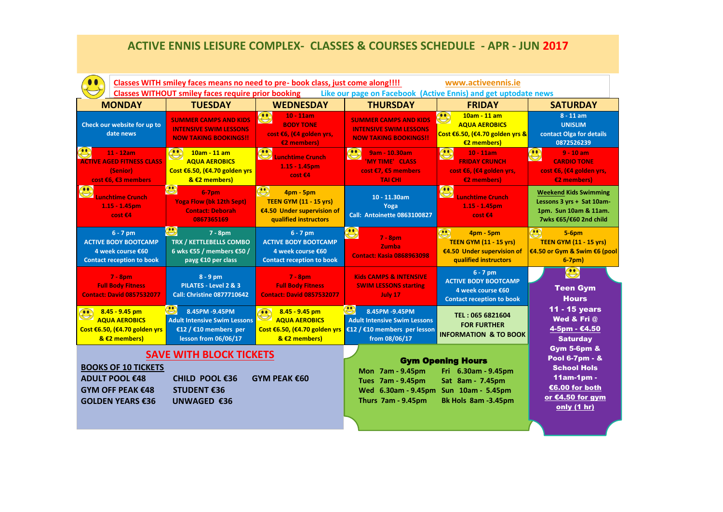## **ACTIVE ENNIS LEISURE COMPLEX- CLASSES & COURSES SCHEDULE - APR - JUN 2017**

| Classes WITH smiley faces means no need to pre- book class, just come along!!!!<br>www.activeennis.ie                       |                                                                                                              |                                                                                                                 |                                                                                                             |                                                                                                                 |                                                                                                                                     |  |  |  |  |  |  |  |
|-----------------------------------------------------------------------------------------------------------------------------|--------------------------------------------------------------------------------------------------------------|-----------------------------------------------------------------------------------------------------------------|-------------------------------------------------------------------------------------------------------------|-----------------------------------------------------------------------------------------------------------------|-------------------------------------------------------------------------------------------------------------------------------------|--|--|--|--|--|--|--|
| <b>Classes WITHOUT smiley faces require prior booking</b><br>Like our page on Facebook (Active Ennis) and get uptodate news |                                                                                                              |                                                                                                                 |                                                                                                             |                                                                                                                 |                                                                                                                                     |  |  |  |  |  |  |  |
| <b>MONDAY</b>                                                                                                               | <b>TUESDAY</b>                                                                                               | <b>WEDNESDAY</b>                                                                                                | <b>THURSDAY</b>                                                                                             | <b>FRIDAY</b>                                                                                                   | <b>SATURDAY</b>                                                                                                                     |  |  |  |  |  |  |  |
| Check our website for up to<br>date news                                                                                    | <b>SUMMER CAMPS AND KIDS</b><br><b>INTENSIVE SWIM LESSONS</b><br><b>NOW TAKING BOOKINGS!!</b>                | $\bigodot$<br>$10 - 11$ am<br><b>BODY TONE</b><br>cost €6, (€4 golden yrs,<br>€2 members)                       | <b>SUMMER CAMPS AND KIDS</b><br><b>INTENSIVE SWIM LESSONS</b><br><b>NOW TAKING BOOKINGS!!</b>               | $\bullet$<br>10am - 11 am<br><b>AQUA AEROBICS</b><br>Cost €6.50, (€4.70 golden yrs &<br>€2 members)             | $8 - 11$ am<br><b>UNISLIM</b><br>contact Olga for details<br>0872526239                                                             |  |  |  |  |  |  |  |
| $11 - 12$ am<br><b>ACTIVE AGED FITNESS CLASS</b><br>(Senior)<br>cost €6, €3 members                                         | 00<br>$10am - 11 am$<br><b>AQUA AEROBICS</b><br>Cost €6.50, (€4.70 golden yrs<br>& €2 members)               | $\bullet$<br>Lunchtime Crunch<br>$1.15 - 1.45$ pm<br>cost €4                                                    | $\bigodot$<br>9am - 10.30am<br>'MY TIME' CLASS<br>cost €7, €5 members<br><b>TAI CHI</b>                     | $\bigodot$<br>$10 - 11$ am<br><b>FRIDAY CRUNCH</b><br>cost €6, (€4 golden yrs,<br>€2 members)                   | $\bigodot$<br>$9 - 10$ am<br><b>CARDIO TONE</b><br>cost €6, (€4 golden yrs,<br>€2 members)                                          |  |  |  |  |  |  |  |
| $\bigodot$<br><b>Lunchtime Crunch</b><br>$1.15 - 1.45$ pm<br>cost €4                                                        | $\bigodot$<br>$6-7$ pm<br><b>Yoga Flow (bk 12th Sept)</b><br><b>Contact: Deborah</b><br>0867365169           | $\bigodot$<br>4pm - 5pm<br><b>TEEN GYM (11 - 15 yrs)</b><br>€4.50 Under supervision of<br>qualified instructors | 10 - 11.30am<br>Yoga<br><b>Call: Antoinette 0863100827</b>                                                  | $\bullet$<br>$\leftrightarrow$<br><b>Lunchtime Crunch</b><br>$1.15 - 1.45$ pm<br>cost €4                        | <b>Weekend Kids Swimming</b><br>Lessons 3 yrs + Sat 10am-<br>1pm. Sun 10am & 11am.<br>7wks €65/€60 2nd child                        |  |  |  |  |  |  |  |
| $6 - 7$ pm<br><b>ACTIVE BODY BOOTCAMP</b><br>4 week course €60<br><b>Contact reception to book</b>                          | $\bigcirc$<br>$7 - 8pm$<br><b>TRX / KETTLEBELLS COMBO</b><br>6 wks €55 / members €50 /<br>payg €10 per class | $6 - 7$ pm<br><b>ACTIVE BODY BOOTCAMP</b><br>4 week course €60<br><b>Contact reception to book</b>              | $\bigodot$<br>$7 - 8$ pm<br><b>Zumba</b><br><b>Contact: Kasia 0868963098</b>                                | $\bigodot$<br>4pm - 5pm<br><b>TEEN GYM (11 - 15 yrs)</b><br>€4.50 Under supervision of<br>qualified instructors | $\bigodot$<br>$5-6pm$<br><b>TEEN GYM (11 - 15 yrs)</b><br>€4.50 or Gym & Swim €6 (pool<br>$6-7pm)$                                  |  |  |  |  |  |  |  |
| $7 - 8$ pm<br><b>Full Body Fitness</b><br><b>Contact: David 0857532077</b>                                                  | $8 - 9$ pm<br>PILATES - Level 2 & 3<br><b>Call: Christine 0877710642</b>                                     | $7 - 8$ pm<br><b>Full Body Fitness</b><br><b>Contact: David 0857532077</b>                                      | <b>Kids CAMPS &amp; INTENSIVE</b><br><b>SWIM LESSONS starting</b><br>July 17                                | $6 - 7$ pm<br><b>ACTIVE BODY BOOTCAMP</b><br>4 week course €60<br><b>Contact reception to book</b>              | $\bigodot$<br><b>Teen Gym</b><br><b>Hours</b>                                                                                       |  |  |  |  |  |  |  |
| $8.45 - 9.45$ pm<br>$\bullet$<br><b>AQUA AEROBICS</b><br>Cost €6.50, (€4.70 golden yrs<br>$8$ $E2$ members)                 | 8.45PM -9.45PM<br><b>Adult Intensive Swim Lessons</b><br>€12 / €10 members per<br>lesson from 06/06/17       | $\bullet$<br>$8.45 - 9.45$ pm<br><b>AQUA AEROBICS</b><br>Cost €6.50, (€4.70 golden yrs<br>$&$ $E2$ members)     | 8.45PM -9.45PM<br><b>Adult Intensive Swim Lessons</b><br>€12 / €10 members per lesson<br>from 08/06/17      | TEL: 065 6821604<br><b>FOR FURTHER</b><br><b>INFORMATION &amp; TO BOOK</b>                                      | 11 - 15 years<br>Wed & Fri @<br>4-5pm - €4.50<br><b>Saturday</b>                                                                    |  |  |  |  |  |  |  |
| <b>BOOKS OF 10 TICKETS</b><br><b>ADULT POOL €48</b><br><b>GYM OFF PEAK €48</b><br><b>GOLDEN YEARS €36</b>                   | <b>SAVE WITH BLOCK TICKETS</b><br>CHILD POOL €36<br><b>STUDENT €36</b><br><b>UNWAGED €36</b>                 | GYM PEAK €60                                                                                                    | Mon 7am - 9.45pm<br><b>Tues 7am - 9.45pm</b><br>Wed 6.30am - 9.45pm Sun 10am - 5.45pm<br>Thurs 7am - 9.45pm | <b>Gym Opening Hours</b><br>Fri 6.30am - 9.45pm<br>Sat 8am - 7.45pm<br>Bk Hols 8am -3.45pm                      | <b>Gym 5-6pm &amp;</b><br>Pool 6-7pm - &<br><b>School Hols</b><br>$11am-1pm$ .<br>€6.00 for both<br>or €4.50 for gym<br>only (1 hr) |  |  |  |  |  |  |  |